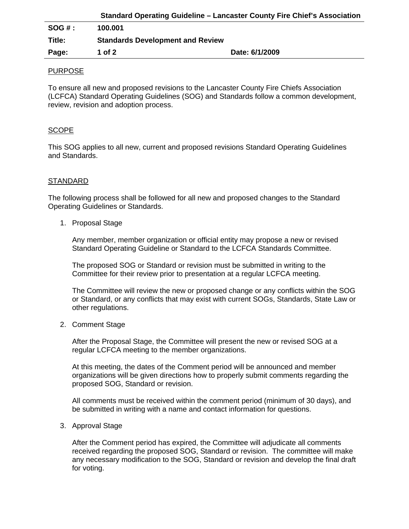| 100.001                                 |  |
|-----------------------------------------|--|
| <b>Standards Development and Review</b> |  |
|                                         |  |
|                                         |  |

## PURPOSE

To ensure all new and proposed revisions to the Lancaster County Fire Chiefs Association (LCFCA) Standard Operating Guidelines (SOG) and Standards follow a common development, review, revision and adoption process.

## SCOPE

This SOG applies to all new, current and proposed revisions Standard Operating Guidelines and Standards.

## **STANDARD**

The following process shall be followed for all new and proposed changes to the Standard Operating Guidelines or Standards.

1. Proposal Stage

Any member, member organization or official entity may propose a new or revised Standard Operating Guideline or Standard to the LCFCA Standards Committee.

The proposed SOG or Standard or revision must be submitted in writing to the Committee for their review prior to presentation at a regular LCFCA meeting.

The Committee will review the new or proposed change or any conflicts within the SOG or Standard, or any conflicts that may exist with current SOGs, Standards, State Law or other regulations.

2. Comment Stage

After the Proposal Stage, the Committee will present the new or revised SOG at a regular LCFCA meeting to the member organizations.

At this meeting, the dates of the Comment period will be announced and member organizations will be given directions how to properly submit comments regarding the proposed SOG, Standard or revision.

All comments must be received within the comment period (minimum of 30 days), and be submitted in writing with a name and contact information for questions.

3. Approval Stage

After the Comment period has expired, the Committee will adjudicate all comments received regarding the proposed SOG, Standard or revision. The committee will make any necessary modification to the SOG, Standard or revision and develop the final draft for voting.